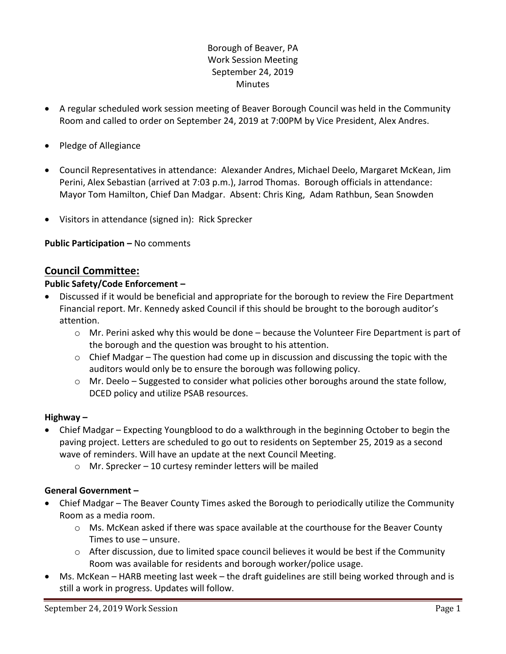# Borough of Beaver, PA Work Session Meeting September 24, 2019 **Minutes**

- A regular scheduled work session meeting of Beaver Borough Council was held in the Community Room and called to order on September 24, 2019 at 7:00PM by Vice President, Alex Andres.
- Pledge of Allegiance
- Council Representatives in attendance: Alexander Andres, Michael Deelo, Margaret McKean, Jim Perini, Alex Sebastian (arrived at 7:03 p.m.), Jarrod Thomas. Borough officials in attendance: Mayor Tom Hamilton, Chief Dan Madgar. Absent: Chris King, Adam Rathbun, Sean Snowden
- Visitors in attendance (signed in): Rick Sprecker

**Public Participation –** No comments

## **Council Committee:**

## **Public Safety/Code Enforcement –**

- Discussed if it would be beneficial and appropriate for the borough to review the Fire Department Financial report. Mr. Kennedy asked Council if this should be brought to the borough auditor's attention.
	- $\circ$  Mr. Perini asked why this would be done because the Volunteer Fire Department is part of the borough and the question was brought to his attention.
	- $\circ$  Chief Madgar The question had come up in discussion and discussing the topic with the auditors would only be to ensure the borough was following policy.
	- o Mr. Deelo Suggested to consider what policies other boroughs around the state follow, DCED policy and utilize PSAB resources.

#### **Highway –**

- Chief Madgar Expecting Youngblood to do a walkthrough in the beginning October to begin the paving project. Letters are scheduled to go out to residents on September 25, 2019 as a second wave of reminders. Will have an update at the next Council Meeting.
	- o Mr. Sprecker 10 curtesy reminder letters will be mailed

#### **General Government –**

- Chief Madgar The Beaver County Times asked the Borough to periodically utilize the Community Room as a media room.
	- o Ms. McKean asked if there was space available at the courthouse for the Beaver County Times to use – unsure.
	- $\circ$  After discussion, due to limited space council believes it would be best if the Community Room was available for residents and borough worker/police usage.
- Ms. McKean HARB meeting last week the draft guidelines are still being worked through and is still a work in progress. Updates will follow.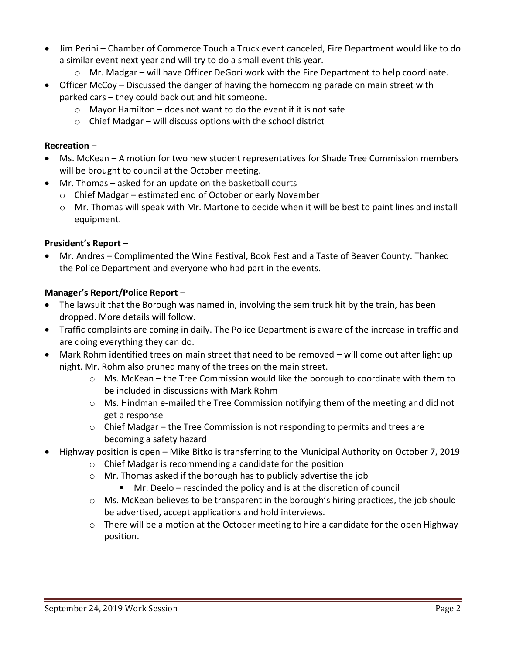- Jim Perini Chamber of Commerce Touch a Truck event canceled, Fire Department would like to do a similar event next year and will try to do a small event this year.
	- o Mr. Madgar will have Officer DeGori work with the Fire Department to help coordinate.
- Officer McCoy Discussed the danger of having the homecoming parade on main street with parked cars – they could back out and hit someone.
	- $\circ$  Mayor Hamilton does not want to do the event if it is not safe
	- $\circ$  Chief Madgar will discuss options with the school district

## **Recreation –**

- Ms. McKean A motion for two new student representatives for Shade Tree Commission members will be brought to council at the October meeting.
- Mr. Thomas asked for an update on the basketball courts
	- o Chief Madgar estimated end of October or early November
	- o Mr. Thomas will speak with Mr. Martone to decide when it will be best to paint lines and install equipment.

## **President's Report –**

 Mr. Andres – Complimented the Wine Festival, Book Fest and a Taste of Beaver County. Thanked the Police Department and everyone who had part in the events.

## **Manager's Report/Police Report –**

- The lawsuit that the Borough was named in, involving the semitruck hit by the train, has been dropped. More details will follow.
- Traffic complaints are coming in daily. The Police Department is aware of the increase in traffic and are doing everything they can do.
- Mark Rohm identified trees on main street that need to be removed will come out after light up night. Mr. Rohm also pruned many of the trees on the main street.
	- o Ms. McKean the Tree Commission would like the borough to coordinate with them to be included in discussions with Mark Rohm
	- $\circ$  Ms. Hindman e-mailed the Tree Commission notifying them of the meeting and did not get a response
	- $\circ$  Chief Madgar the Tree Commission is not responding to permits and trees are becoming a safety hazard
- Highway position is open Mike Bitko is transferring to the Municipal Authority on October 7, 2019
	- o Chief Madgar is recommending a candidate for the position
	- o Mr. Thomas asked if the borough has to publicly advertise the job
		- Mr. Deelo rescinded the policy and is at the discretion of council
	- $\circ$  Ms. McKean believes to be transparent in the borough's hiring practices, the job should be advertised, accept applications and hold interviews.
	- $\circ$  There will be a motion at the October meeting to hire a candidate for the open Highway position.